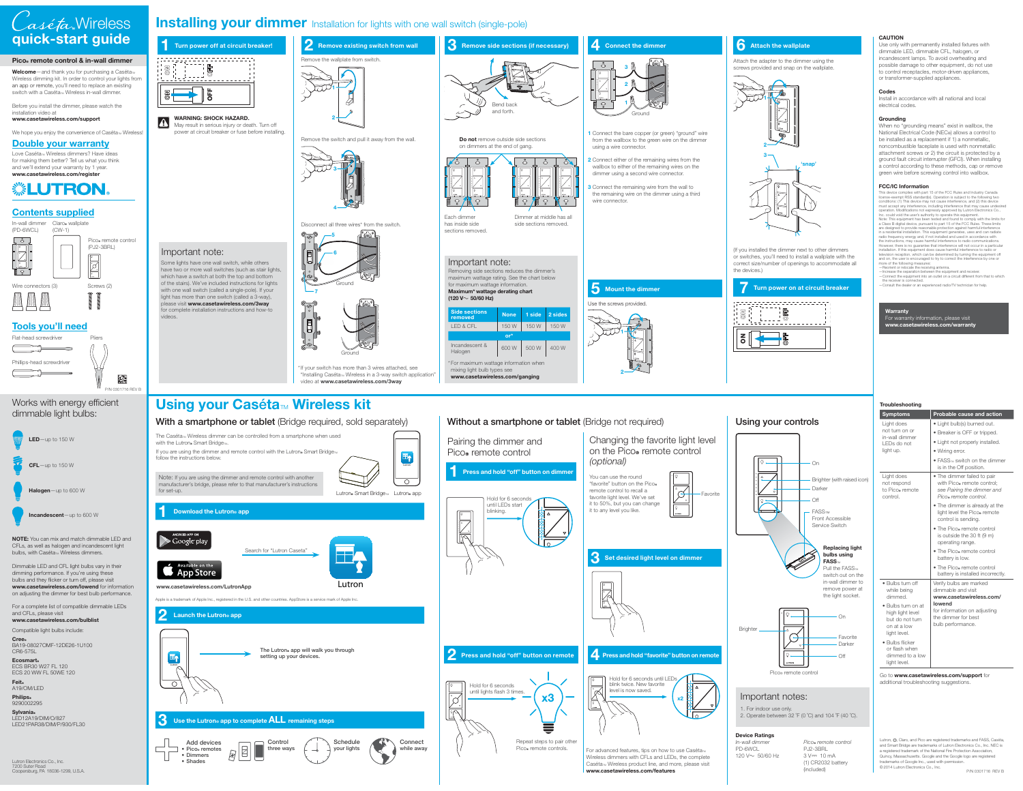Some lights have one wall switch, while others have two or more wall switches (such as stair lights, which have a switch at both the top and bottom of the stairs). We've included instructions for lights with one wall switch (called a single-pole). If your light has more than one switch (called a 3-way), please visit **www.casetawireless.com/3way** for complete installation instructions and how-to

> **2 Press and hold "off" button on remote** Hold for 6 seconds until LEDs start blinking. **1 Press and hold "off" button on dimmer** Pairing the dimmer and Pico<sup>®</sup> remote control



videos.

鼷



May result in serious injury or death. Turn off power at circuit breaker or fuse before installing.

> ଵနာ Ground

#### **4 Connect the dimmer**

**5 Mount the dimmer**

Remove the switch and pull it away from the wall.



# **3 Remove side sections (if necessary)** Bend back and forth.

\* If your switch has more than 3 wires attached, see "Installing Caséta <sup>T</sup> Wireless in a 3-way switch application" video at **www.casetawireless.com/3way**







Disconnect all three wires\* from the switch.

- **1** Connect the bare copper (or green) "ground" wire from the wallbox to the green wire on the dimmer using a wire connector.
- **2** Connect either of the remaining wires from the wallbox to either of the remaining wires on the dimmer using a second wire connector.
- **3** Connect the remaining wire from the wall to the remaining wire on the dimmer using a third wire connector.

#### **6** Attach the wallplate

**Do not** remove outside side sections on dimmers at the end of gang.





Each dimmer has inside side sections removed. This device complies with part 15 of the FCC Rules and Industry Canada license-exempt RSS standard(s). Operation is subject to the following two conditions: (1) This device may not cause interference, and (2) this device must accept any interference, including interference that may cause undesired operation. Modifications not expressly approved by Lutron Electronics Co., Inc. could void the user's authority to operate this equipment.<br>Note: This equipment has been tested and found to comply with the limits for<br>a Class B digital device, pursuant to part 15 of the FCC Rules. These limits are designed to provide reasonable protection against harmful interference in a residential installation. This equipment generates, uses and can radiate radio frequency energy and, if not installed and used in accordance with<br>the instructions, may cause harmful interference to radio communications.<br>However, there is no guarantee that interference will not occur in a partic installation. If this equipment does cause harmful interference to radio or<br>television reception, which can be determined by turning the equipment off<br>and on, the user is encouraged to try to correct the interference by on

Dimmer at middle has all side sections removed.

Attach the adapter to the dimmer using the screws provided and snap on the wallplate.

(If you installed the dimmer next to other dimmers or switches, you'll need to install a wallplate with the correct size/number of openings to accommodate all the devices.)

Use the screws provided.

Go to **www.casetawireless.com/support** for additional troubleshooting suggestions.

Wireless dimmers with CFLs and LEDs, the complete Caséta<sub>™</sub> Wireless product line, and more, please visit **www.casetawireless.com/features**



#### Changing the favorite light level on the Pico® remote control (optional)

#### **CAUTION**

Lutron, .\*, Claro, and Pico are registered trademarks and FASS, Caséta, and Smart Bridge are trademarks of Lutron Electronics Co., Inc. NEC is a registered trademark of the National Fire Protection Association, Quincy, Massachusetts. Google and the Google logo are registered trademarks of Google Inc., used with permission. ©2014 Lutron Electronics Co., Inc.

Use only with permanently installed fixtures with dimmable LED, dimmable CFL, halogen, or incandescent lamps. To avoid overheating and possible damage to other equipment, do not use to control receptacles, motor-driven appliances, or transformer-supplied appliances.

#### **Codes**

Install in accordance with all national and local electrical codes.

#### **Grounding**

When no "grounding means" exist in wallbox, the National Electrical Code (NEC®) allows a control to be installed as a replacement if 1) a nonmetallic, noncombustible faceplate is used with nonmetallic attachment screws or 2) the circuit is protected by a ground fault circuit interrupter (GFCI). When installing a control according to these methods, cap or remove green wire before screwing control into wallbox.

Pico<sub>®</sub> remote control PJ2-3BRL 3 V== 10 mA (1) CR2032 battery (included)

#### **FCC/IC Information**

**Welcome**—and thank you for purchasing a Caséta T Wireless dimming kit. In order to control your lights from an app or remote, you'll need to replace an existing switch with a Caséta™ Wireless in-wall dimmer.

We hope you enjoy the convenience of Casétam Wireless!

**• Pico**<sub>*c*</sub> remotes **• Dimmers • Shades** 

more of the following measures: —Reorient or relocate the receiving antenna. —Increase the separation between the equipment and receiver. — Connect the equipment into an outlet on a circuit different from that to which the receiver is connected.

—Consult the dealer or an experienced radio/TV technician for help.

**Cree** BA19-08027OMF-12DE26-1U100 CR6-575L

**Ecosmart**。 ECS BR30 W27 FL 120 ECS 20 WW FL 50WE 120

**Sylvania**。 LED12A19/DIM/O/827 LED21PAR38/DIM/P/930/FL30 **1**

**2**



Important note:

| Troubleshooting                                                                                  |                                                                                                                  |  |  |  |
|--------------------------------------------------------------------------------------------------|------------------------------------------------------------------------------------------------------------------|--|--|--|
| <b>Symptoms</b>                                                                                  | <b>Probable cause and action</b>                                                                                 |  |  |  |
| Light does<br>not turn on or<br>in-wall dimmer<br>LEDs do not<br>light up.                       | · Light bulb(s) burned out.<br>• Breaker is OFF or tripped.                                                      |  |  |  |
|                                                                                                  | • Light not properly installed.                                                                                  |  |  |  |
|                                                                                                  | • Wiring error.                                                                                                  |  |  |  |
|                                                                                                  | $\bullet$ FASS <sub>TM</sub> switch on the dimmer<br>is in the Off position.                                     |  |  |  |
| Light does<br>not respond<br>to Pico® remote<br>control.                                         | • The dimmer failed to pair<br>with Pico. remote control;<br>see Pairing the dimmer and<br>Pico® remote control. |  |  |  |
|                                                                                                  | • The dimmer is already at the<br>light level the Pico. remote<br>control is sending.                            |  |  |  |
|                                                                                                  | • The Pico. remote control<br>is outside the 30 ft (9 m)<br>operating range.                                     |  |  |  |
|                                                                                                  | • The Pico. remote control<br>battery is low.                                                                    |  |  |  |
|                                                                                                  | • The Pico® remote control<br>battery is installed incorrectly.                                                  |  |  |  |
| $\bullet$ Bulbs turn off<br>while being<br>dimmed.                                               | Verify bulbs are marked<br>dimmable and visit<br>www.casetawireless.com/                                         |  |  |  |
| $\bullet$ Bulbs turn on at<br>high light level<br>but do not turn<br>on at a low<br>light level. | lowend<br>for information on adjusting<br>the dimmer for best<br>bulb performance.                               |  |  |  |
| • Bulbs flicker<br>or flash when<br>dimmed to a low<br>light level.                              |                                                                                                                  |  |  |  |



### **Device Ratings**

In-wall dimmerPD-6WCL 120 V ~ 50/60 Hz



Before you install the dimmer, please watch the installation video at

#### **www.casetawireless.com/support**

### **Contents supplied**

# **quick-start guide** Wireless



**Double your warranty** Love Casétam Wireless dimmers? Have ideas for making them better? Tell us what you think and we'll extend your warranty by 1 year. **www.casetawireless.com/register**

# **WELUTRON**





## **Installing your dimmer** Installation for lights with one wall switch (single-pole)

#### **Warranty** For warranty information, please visit **www.casetawireless.com/warranty**

1. For indoor use only. 2. Operate between 32 ˚F (0 ˚C) and 104 ˚F (40 ˚C).



# **Using your Cas éta** T **Wireless kit**

### **With a smartphone or tablet** (Bridge required, sold separately)



**three ways** 

**your lights**

**while away**

#### Important note: Removing side sections reduces the dimmer's

maximum wattage rating. See the chart below for maximum wattage information. **Maximum\* wattage derating chart** 

**(120 V** <sup>~</sup> **50/60 Hz)**

| <b>Side sections</b><br>removed                                                                         | <b>None</b> | 1 side | 2 sides |
|---------------------------------------------------------------------------------------------------------|-------------|--------|---------|
| <b>LED &amp; CFL</b>                                                                                    | 150 W       | 150 W  | 150 W   |
| $\overline{\mathbf{or}}^\star$                                                                          |             |        |         |
| Incandescent &<br>Halogen                                                                               | 600 W       | 500 W  | 400 W   |
| * For maximum wattage information when<br>mixing light bulb types see<br>www.casetawireless.com/ganging |             |        |         |

### **Without a smartphone or tablet** (Bridge not required)

#### Works with energy efficient dimmable light bulbs:

Dimmable LED and CFL light bulbs vary in their dimming performance. If you're using these bulbs and they flicker or turn off, please visit **www.casetawireless.com/lowend** for information

on adjusting the dimmer for best bulb performance.



For a complete list of compatible dimmable LEDs and CFLs, please visit **www.casetawireless.com/bulblist**

Compatible light bulbs include:

**Feit**R A19/OM/LED **Philips**® 9290002295